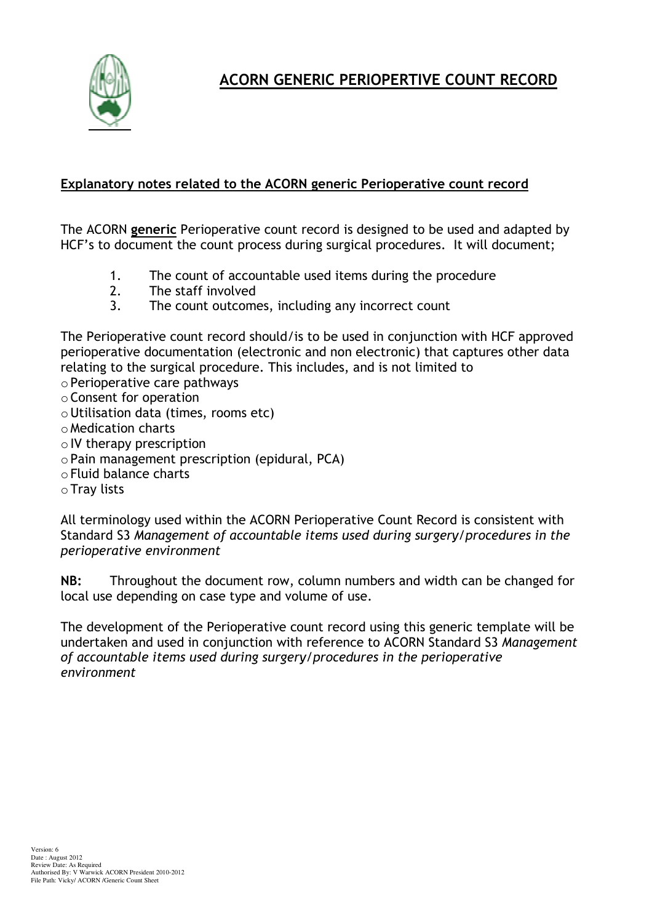

**ACORN GENERIC PERIOPERTIVE COUNT RECORD** 

## Explanatory notes related to the ACORN generic Perioperative count record

The ACORN generic Perioperative count record is designed to be used and adapted by HCF's to document the count process during surgical procedures. It will document;

- $1<sub>1</sub>$ The count of accountable used items during the procedure
- $\mathcal{P}$ The staff involved
- $\overline{3}$ . The count outcomes, including any incorrect count

The Perioperative count record should/is to be used in conjunction with HCF approved perioperative documentation (electronic and non electronic) that captures other data relating to the surgical procedure. This includes, and is not limited to

- o Perioperative care pathways
- o Consent for operation
- o Utilisation data (times, rooms etc)
- o Medication charts
- $\circ$  IV therapy prescription
- $\circ$  Pain management prescription (epidural, PCA)
- o Fluid balance charts
- $\circ$  Tray lists

All terminology used within the ACORN Perioperative Count Record is consistent with Standard S3 Management of accountable items used during surgery/procedures in the perioperative environment

Throughout the document row, column numbers and width can be changed for  $NB:$ local use depending on case type and volume of use.

The development of the Perioperative count record using this generic template will be undertaken and used in conjunction with reference to ACORN Standard S3 Management of accountable items used during surgery/procedures in the perioperative environment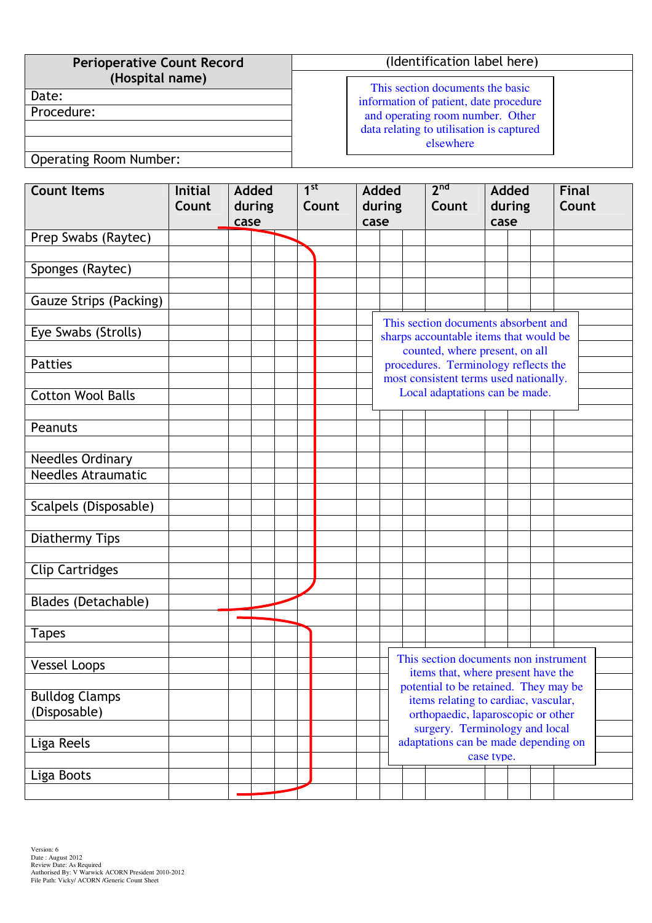| <b>Perioperative Count Record</b> | (Identification label here)              |  |  |  |  |  |  |
|-----------------------------------|------------------------------------------|--|--|--|--|--|--|
| (Hospital name)                   | This section documents the basic         |  |  |  |  |  |  |
| Date:                             | information of patient, date procedure   |  |  |  |  |  |  |
| Procedure:                        | and operating room number. Other         |  |  |  |  |  |  |
|                                   | data relating to utilisation is captured |  |  |  |  |  |  |
|                                   | elsewhere                                |  |  |  |  |  |  |
| Onerating Room Number             |                                          |  |  |  |  |  |  |

Added during case

**Final** Count

| <b>Count Items</b>        | <b>Initial</b><br>Count | Added<br>during<br>case |  |  | $1^{\rm st}$<br>Count |  | <b>Added</b><br>during |                                                         |  | 2 <sup>nd</sup><br>Count |  |  |
|---------------------------|-------------------------|-------------------------|--|--|-----------------------|--|------------------------|---------------------------------------------------------|--|--------------------------|--|--|
| Prep Swabs (Raytec)       |                         |                         |  |  |                       |  | case                   |                                                         |  |                          |  |  |
|                           |                         |                         |  |  |                       |  |                        |                                                         |  |                          |  |  |
| Sponges (Raytec)          |                         |                         |  |  |                       |  |                        |                                                         |  |                          |  |  |
| Gauze Strips (Packing)    |                         |                         |  |  |                       |  |                        |                                                         |  |                          |  |  |
| Eye Swabs (Strolls)       |                         |                         |  |  |                       |  |                        | This section docur<br>sharps accountable                |  |                          |  |  |
| <b>Patties</b>            |                         |                         |  |  |                       |  |                        | counted, when<br>procedures. Term<br>most consistent te |  |                          |  |  |
| <b>Cotton Wool Balls</b>  |                         |                         |  |  |                       |  |                        |                                                         |  | Local adaptation         |  |  |
| Peanuts                   |                         |                         |  |  |                       |  |                        |                                                         |  |                          |  |  |
| <b>Needles Ordinary</b>   |                         |                         |  |  |                       |  |                        |                                                         |  |                          |  |  |
| <b>Needles Atraumatic</b> |                         |                         |  |  |                       |  |                        |                                                         |  |                          |  |  |
| Scalpels (Disposable)     |                         |                         |  |  |                       |  |                        |                                                         |  |                          |  |  |

## | Operating Room Number:

| <b>Gauze Strips (Packing)</b>         |  |  |                                                                                                                  |                                                                                                                                                       |                                      |            |  |  |  |  |  |
|---------------------------------------|--|--|------------------------------------------------------------------------------------------------------------------|-------------------------------------------------------------------------------------------------------------------------------------------------------|--------------------------------------|------------|--|--|--|--|--|
| Eye Swabs (Strolls)                   |  |  | This section documents absorbent and<br>sharps accountable items that would be<br>counted, where present, on all |                                                                                                                                                       |                                      |            |  |  |  |  |  |
| <b>Patties</b>                        |  |  |                                                                                                                  | procedures. Terminology reflects the                                                                                                                  |                                      |            |  |  |  |  |  |
|                                       |  |  | most consistent terms used nationally.                                                                           |                                                                                                                                                       |                                      |            |  |  |  |  |  |
| <b>Cotton Wool Balls</b>              |  |  | Local adaptations can be made.                                                                                   |                                                                                                                                                       |                                      |            |  |  |  |  |  |
| Peanuts                               |  |  |                                                                                                                  |                                                                                                                                                       |                                      |            |  |  |  |  |  |
| <b>Needles Ordinary</b>               |  |  |                                                                                                                  |                                                                                                                                                       |                                      |            |  |  |  |  |  |
| <b>Needles Atraumatic</b>             |  |  |                                                                                                                  |                                                                                                                                                       |                                      |            |  |  |  |  |  |
| Scalpels (Disposable)                 |  |  |                                                                                                                  |                                                                                                                                                       |                                      |            |  |  |  |  |  |
| Diathermy Tips                        |  |  |                                                                                                                  |                                                                                                                                                       |                                      |            |  |  |  |  |  |
| <b>Clip Cartridges</b>                |  |  |                                                                                                                  |                                                                                                                                                       |                                      |            |  |  |  |  |  |
| Blades (Detachable)                   |  |  |                                                                                                                  |                                                                                                                                                       |                                      |            |  |  |  |  |  |
| <b>Tapes</b>                          |  |  |                                                                                                                  |                                                                                                                                                       |                                      |            |  |  |  |  |  |
| <b>Vessel Loops</b>                   |  |  | This section documents non instrument<br>items that, where present have the                                      |                                                                                                                                                       |                                      |            |  |  |  |  |  |
| <b>Bulldog Clamps</b><br>(Disposable) |  |  |                                                                                                                  | potential to be retained. They may be<br>items relating to cardiac, vascular,<br>orthopaedic, laparoscopic or other<br>surgery. Terminology and local |                                      |            |  |  |  |  |  |
| Liga Reels                            |  |  |                                                                                                                  |                                                                                                                                                       | adaptations can be made depending on | case type. |  |  |  |  |  |
| Liga Boots                            |  |  |                                                                                                                  |                                                                                                                                                       |                                      |            |  |  |  |  |  |
|                                       |  |  |                                                                                                                  |                                                                                                                                                       |                                      |            |  |  |  |  |  |